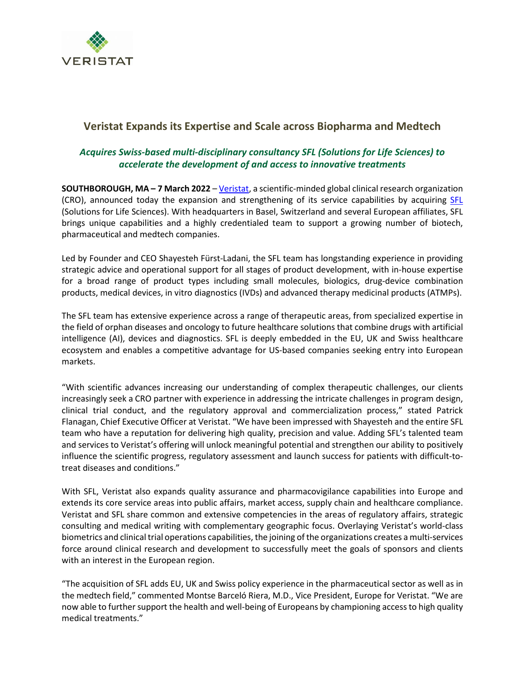

# **Veristat Expands its Expertise and Scale across Biopharma and Medtech**

## *Acquires Swiss-based multi-disciplinary consultancy SFL (Solutions for Life Sciences) to accelerate the development of and access to innovative treatments*

**SOUTHBOROUGH, MA – 7 March 2022** – [Veristat,](http://www.veristat.com/) a scientific-minded global clinical research organization (CRO), announced today the expansion and strengthening of its service capabilities by acquiring [SFL](https://www.sfl-services.com/) (Solutions for Life Sciences). With headquarters in Basel, Switzerland and several European affiliates, SFL brings unique capabilities and a highly credentialed team to support a growing number of biotech, pharmaceutical and medtech companies.

Led by Founder and CEO Shayesteh Fürst-Ladani, the SFL team has longstanding experience in providing strategic advice and operational support for all stages of product development, with in-house expertise for a broad range of product types including small molecules, biologics, drug-device combination products, medical devices, in vitro diagnostics (IVDs) and advanced therapy medicinal products (ATMPs).

The SFL team has extensive experience across a range of therapeutic areas, from specialized expertise in the field of orphan diseases and oncology to future healthcare solutions that combine drugs with artificial intelligence (AI), devices and diagnostics. SFL is deeply embedded in the EU, UK and Swiss healthcare ecosystem and enables a competitive advantage for US-based companies seeking entry into European markets.

"With scientific advances increasing our understanding of complex therapeutic challenges, our clients increasingly seek a CRO partner with experience in addressing the intricate challenges in program design, clinical trial conduct, and the regulatory approval and commercialization process," stated Patrick Flanagan, Chief Executive Officer at Veristat. "We have been impressed with Shayesteh and the entire SFL team who have a reputation for delivering high quality, precision and value. Adding SFL's talented team and services to Veristat's offering will unlock meaningful potential and strengthen our ability to positively influence the scientific progress, regulatory assessment and launch success for patients with difficult-totreat diseases and conditions."

With SFL, Veristat also expands quality assurance and pharmacovigilance capabilities into Europe and extends its core service areas into public affairs, market access, supply chain and healthcare compliance. Veristat and SFL share common and extensive competencies in the areas of regulatory affairs, strategic consulting and medical writing with complementary geographic focus. Overlaying Veristat's world-class biometrics and clinical trial operations capabilities, the joining of the organizations creates a multi-services force around clinical research and development to successfully meet the goals of sponsors and clients with an interest in the European region.

"The acquisition of SFL adds EU, UK and Swiss policy experience in the pharmaceutical sector as well as in the medtech field," commented Montse Barceló Riera, M.D., Vice President, Europe for Veristat. "We are now able to further support the health and well-being of Europeans by championing access to high quality medical treatments."